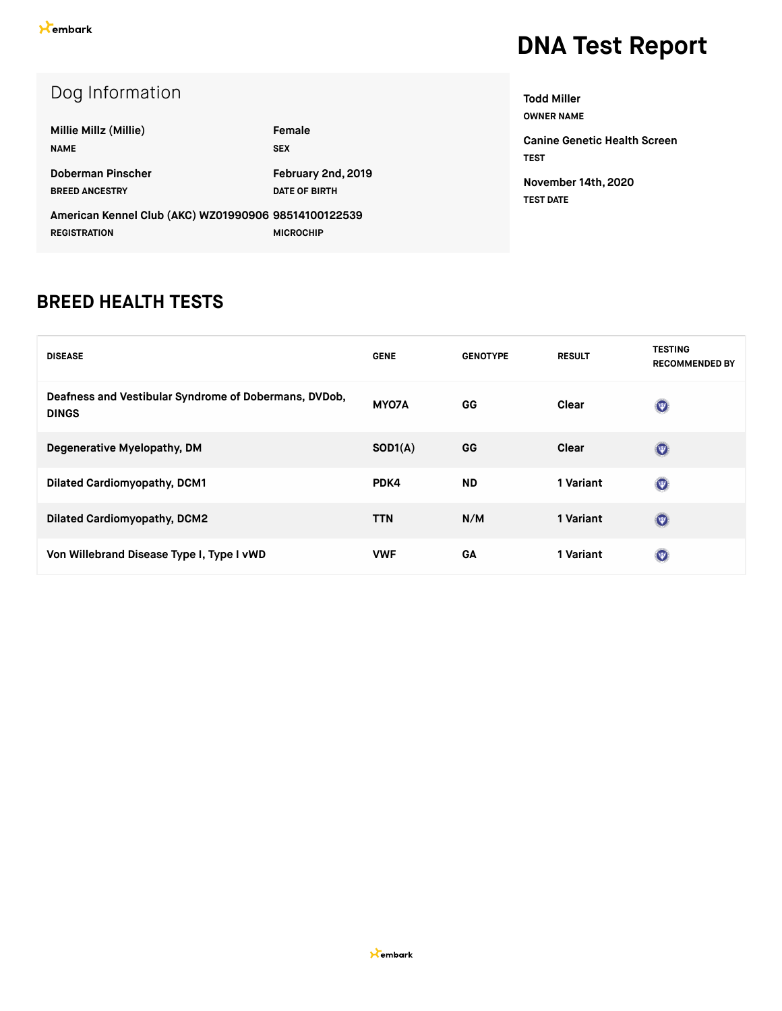| Dog Information                                      |                      |  |
|------------------------------------------------------|----------------------|--|
| Millie Millz (Millie)                                | Female               |  |
| <b>NAME</b>                                          | <b>SEX</b>           |  |
| Doberman Pinscher                                    | February 2nd, 2019   |  |
| <b>BREED ANCESTRY</b>                                | <b>DATE OF BIRTH</b> |  |
| American Kennel Club (AKC) WZ01990906 98514100122539 |                      |  |
| <b>REGISTRATION</b>                                  | <b>MICROCHIP</b>     |  |

**OWNER NAME Canine Genetic Health Screen TEST**

**Todd Miller**

**November 14th, 2020 TEST DATE**

#### **BREED HEALTH TESTS**

| <b>DISEASE</b>                                                        | <b>GENE</b> | <b>GENOTYPE</b> | <b>RESULT</b> | <b>TESTING</b><br><b>RECOMMENDED BY</b> |
|-----------------------------------------------------------------------|-------------|-----------------|---------------|-----------------------------------------|
| Deafness and Vestibular Syndrome of Dobermans, DVDob,<br><b>DINGS</b> | MYO7A       | GG              | Clear         | $\odot$                                 |
| Degenerative Myelopathy, DM                                           | SOD1(A)     | GG              | Clear         | $\odot$                                 |
| <b>Dilated Cardiomyopathy, DCM1</b>                                   | PDK4        | <b>ND</b>       | 1 Variant     | $\odot$                                 |
| <b>Dilated Cardiomyopathy, DCM2</b>                                   | <b>TTN</b>  | N/M             | 1 Variant     | $\odot$                                 |
| Von Willebrand Disease Type I, Type I vWD                             | <b>VWF</b>  | GA              | 1 Variant     | $\odot$                                 |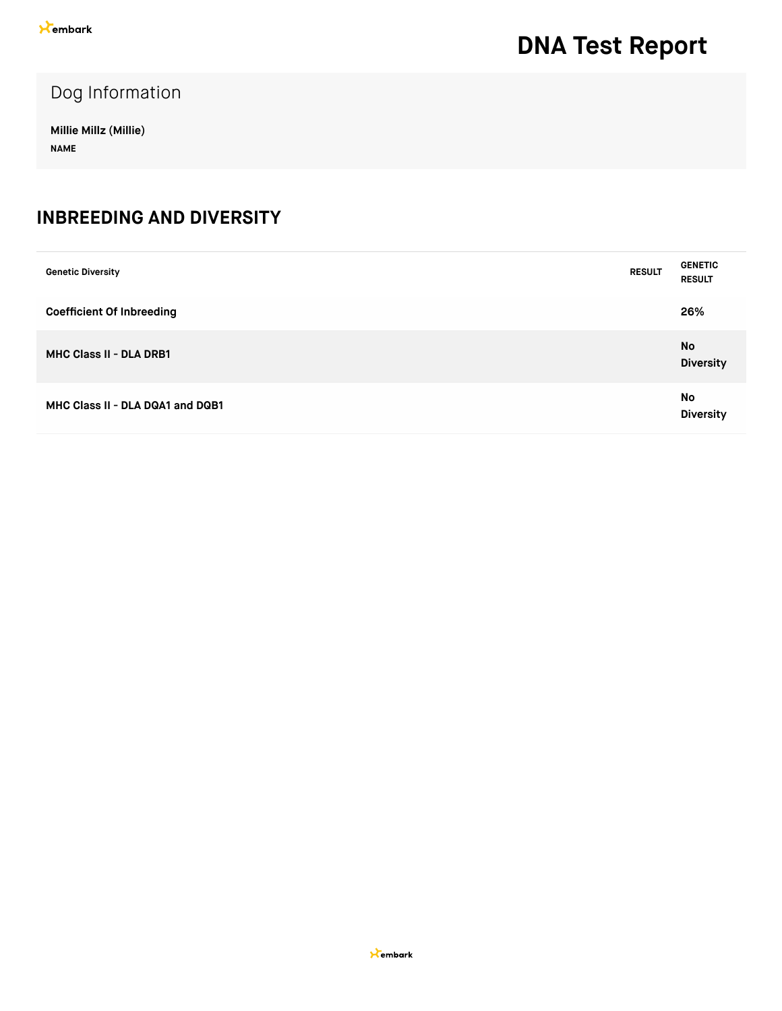Dog Information

**Millie Millz (Millie) NAME**

#### **INBREEDING AND DIVERSITY**

| <b>Genetic Diversity</b>         | <b>RESULT</b> | <b>GENETIC</b><br><b>RESULT</b> |
|----------------------------------|---------------|---------------------------------|
| <b>Coefficient Of Inbreeding</b> |               | 26%                             |
| <b>MHC Class II - DLA DRB1</b>   |               | No<br><b>Diversity</b>          |
| MHC Class II - DLA DQA1 and DQB1 |               | No<br><b>Diversity</b>          |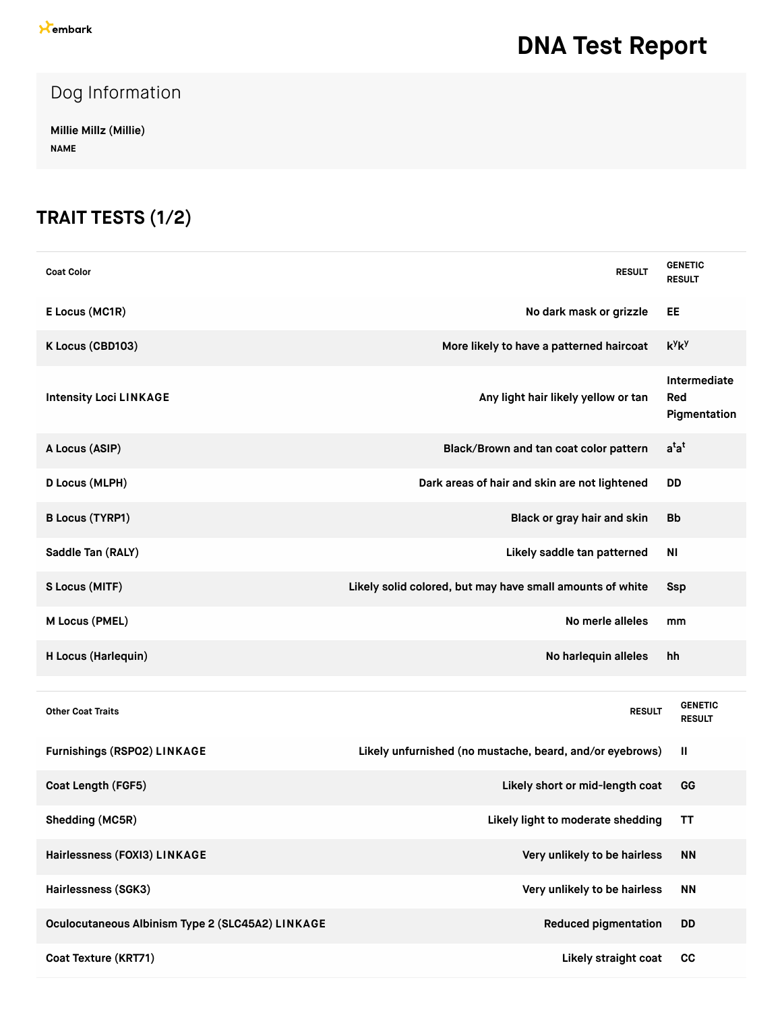### Dog Information

**Millie Millz (Millie) NAME**

### **TRAIT TESTS (1/2)**

| <b>Coat Color</b>                                | <b>RESULT</b>                                             | <b>GENETIC</b><br><b>RESULT</b>     |
|--------------------------------------------------|-----------------------------------------------------------|-------------------------------------|
| E Locus (MC1R)                                   | No dark mask or grizzle                                   | EE                                  |
| K Locus (CBD103)                                 | More likely to have a patterned haircoat                  | $k^y k^y$                           |
| <b>Intensity Loci LINKAGE</b>                    | Any light hair likely yellow or tan                       | Intermediate<br>Red<br>Pigmentation |
| A Locus (ASIP)                                   | Black/Brown and tan coat color pattern                    | $a^{t}a^{t}$                        |
| D Locus (MLPH)                                   | Dark areas of hair and skin are not lightened             | <b>DD</b>                           |
| <b>B Locus (TYRP1)</b>                           | Black or gray hair and skin                               | <b>Bb</b>                           |
| Saddle Tan (RALY)                                | Likely saddle tan patterned                               | N <sub>1</sub>                      |
| S Locus (MITF)                                   | Likely solid colored, but may have small amounts of white | Ssp                                 |
| M Locus (PMEL)                                   | No merle alleles                                          | mm                                  |
| H Locus (Harlequin)                              | No harlequin alleles                                      | hh                                  |
|                                                  |                                                           |                                     |
| <b>Other Coat Traits</b>                         | <b>RESULT</b>                                             | <b>GENETIC</b><br><b>RESULT</b>     |
| Furnishings (RSPO2) LINKAGE                      | Likely unfurnished (no mustache, beard, and/or eyebrows)  | $\mathbf{  }$                       |
| Coat Length (FGF5)                               | Likely short or mid-length coat                           | GG                                  |
| Shedding (MC5R)                                  | Likely light to moderate shedding                         | ΤT                                  |
| Hairlessness (FOXI3) LINKAGE                     | Very unlikely to be hairless                              | <b>NN</b>                           |
| Hairlessness (SGK3)                              | Very unlikely to be hairless                              | <b>NN</b>                           |
| Oculocutaneous Albinism Type 2 (SLC45A2) LINKAGE | <b>Reduced pigmentation</b>                               | <b>DD</b>                           |
| Coat Texture (KRT71)                             | Likely straight coat                                      | cc                                  |